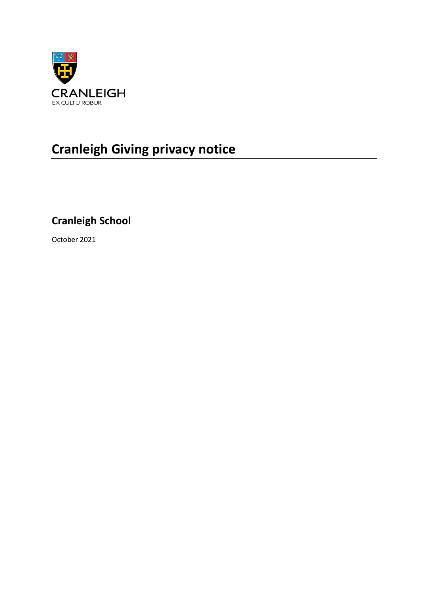

# **Cranleigh Giving privacy notice**

# **Cranleigh School**

October 2021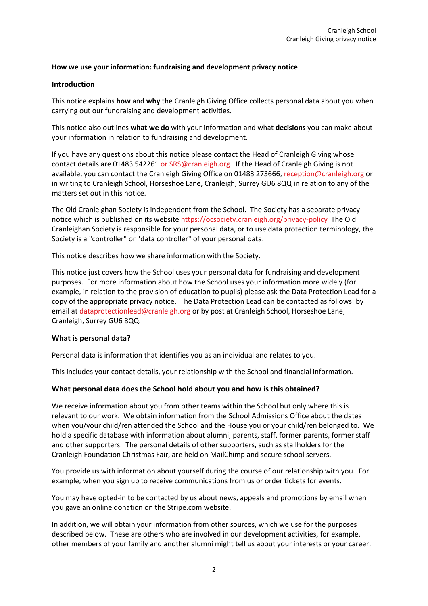# **How we use your information: fundraising and development privacy notice**

#### **Introduction**

This notice explains **how** and **why** the Cranleigh Giving Office collects personal data about you when carrying out our fundraising and development activities.

This notice also outlines **what we do** with your information and what **decisions** you can make about your information in relation to fundraising and development.

If you have any questions about this notice please contact the Head of Cranleigh Giving whose contact details are 01483 542261 [or SRS@cranleigh.org.](mailto:or%20SRS@cranleigh.org) If the Head of Cranleigh Giving is not available, you can contact the Cranleigh Giving Office on 01483 273666, [reception@cranleigh.org](mailto:reception@cranleigh.org) or in writing to Cranleigh School, Horseshoe Lane, Cranleigh, Surrey GU6 8QQ in relation to any of the matters set out in this notice.

The Old Cranleighan Society is independent from the School. The Society has a separate privacy notice which is published on its websit[e https://ocsociety.cranleigh.org/privacy-policy](https://ocsociety.cranleigh.org/privacy-policy) The Old Cranleighan Society is responsible for your personal data, or to use data protection terminology, the Society is a "controller" or "data controller" of your personal data.

This notice describes how we share information with the Society.

This notice just covers how the School uses your personal data for fundraising and development purposes. For more information about how the School uses your information more widely (for example, in relation to the provision of education to pupils) please ask the Data Protection Lead for a copy of the appropriate privacy notice. The Data Protection Lead can be contacted as follows: by email a[t dataprotectionlead@cranleigh.org](mailto:dataprotectionlead@cranleigh.org) or by post at Cranleigh School, Horseshoe Lane, Cranleigh, Surrey GU6 8QQ.

#### **What is personal data?**

Personal data is information that identifies you as an individual and relates to you.

This includes your contact details, your relationship with the School and financial information.

# **What personal data does the School hold about you and how is this obtained?**

We receive information about you from other teams within the School but only where this is relevant to our work. We obtain information from the School Admissions Office about the dates when you/your child/ren attended the School and the House you or your child/ren belonged to. We hold a specific database with information about alumni, parents, staff, former parents, former staff and other supporters. The personal details of other supporters, such as stallholders for the Cranleigh Foundation Christmas Fair, are held on MailChimp and secure school servers.

You provide us with information about yourself during the course of our relationship with you. For example, when you sign up to receive communications from us or order tickets for events.

You may have opted-in to be contacted by us about news, appeals and promotions by email when you gave an online donation on the Stripe.com website.

In addition, we will obtain your information from other sources, which we use for the purposes described below. These are others who are involved in our development activities, for example, other members of your family and another alumni might tell us about your interests or your career.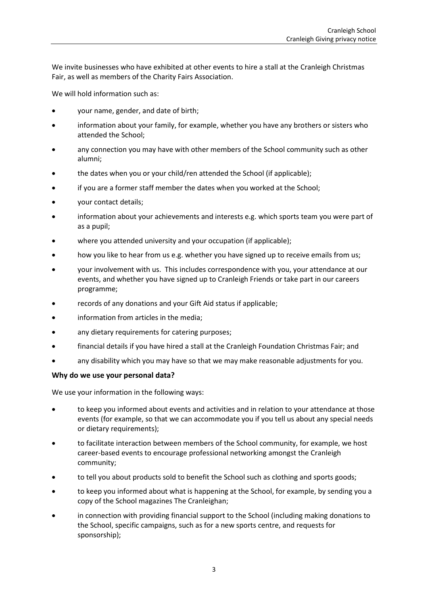We invite businesses who have exhibited at other events to hire a stall at the Cranleigh Christmas Fair, as well as members of the Charity Fairs Association.

We will hold information such as:

- your name, gender, and date of birth;
- information about your family, for example, whether you have any brothers or sisters who attended the School;
- any connection you may have with other members of the School community such as other alumni;
- the dates when you or your child/ren attended the School (if applicable);
- if you are a former staff member the dates when you worked at the School;
- your contact details;
- information about your achievements and interests e.g. which sports team you were part of as a pupil;
- where you attended university and your occupation (if applicable);
- how you like to hear from us e.g. whether you have signed up to receive emails from us;
- your involvement with us. This includes correspondence with you, your attendance at our events, and whether you have signed up to Cranleigh Friends or take part in our careers programme;
- records of any donations and your Gift Aid status if applicable;
- information from articles in the media;
- any dietary requirements for catering purposes;
- financial details if you have hired a stall at the Cranleigh Foundation Christmas Fair; and
- any disability which you may have so that we may make reasonable adjustments for you.

# **Why do we use your personal data?**

We use your information in the following ways:

- to keep you informed about events and activities and in relation to your attendance at those events (for example, so that we can accommodate you if you tell us about any special needs or dietary requirements);
- to facilitate interaction between members of the School community, for example, we host career-based events to encourage professional networking amongst the Cranleigh community;
- to tell you about products sold to benefit the School such as clothing and sports goods;
- to keep you informed about what is happening at the School, for example, by sending you a copy of the School magazines The Cranleighan;
- in connection with providing financial support to the School (including making donations to the School, specific campaigns, such as for a new sports centre, and requests for sponsorship);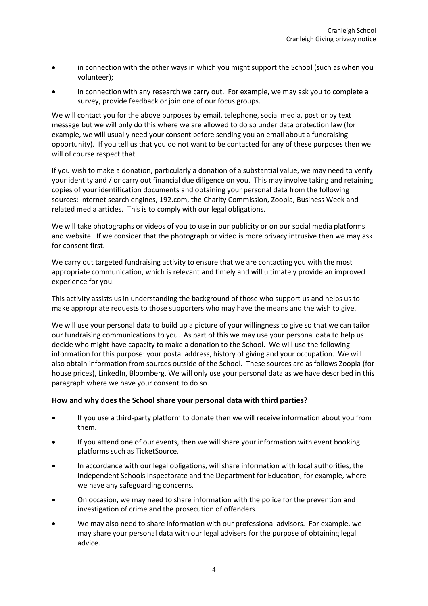- in connection with the other ways in which you might support the School (such as when you volunteer);
- in connection with any research we carry out. For example, we may ask you to complete a survey, provide feedback or join one of our focus groups.

We will contact you for the above purposes by email, telephone, social media, post or by text message but we will only do this where we are allowed to do so under data protection law (for example, we will usually need your consent before sending you an email about a fundraising opportunity). If you tell us that you do not want to be contacted for any of these purposes then we will of course respect that.

If you wish to make a donation, particularly a donation of a substantial value, we may need to verify your identity and / or carry out financial due diligence on you. This may involve taking and retaining copies of your identification documents and obtaining your personal data from the following sources: internet search engines, 192.com, the Charity Commission, Zoopla, Business Week and related media articles. This is to comply with our legal obligations.

We will take photographs or videos of you to use in our publicity or on our social media platforms and website. If we consider that the photograph or video is more privacy intrusive then we may ask for consent first.

We carry out targeted fundraising activity to ensure that we are contacting you with the most appropriate communication, which is relevant and timely and will ultimately provide an improved experience for you.

This activity assists us in understanding the background of those who support us and helps us to make appropriate requests to those supporters who may have the means and the wish to give.

We will use your personal data to build up a picture of your willingness to give so that we can tailor our fundraising communications to you. As part of this we may use your personal data to help us decide who might have capacity to make a donation to the School. We will use the following information for this purpose: your postal address, history of giving and your occupation. We will also obtain information from sources outside of the School. These sources are as follows Zoopla (for house prices), LinkedIn, Bloomberg. We will only use your personal data as we have described in this paragraph where we have your consent to do so.

#### **How and why does the School share your personal data with third parties?**

- If you use a third-party platform to donate then we will receive information about you from them.
- If you attend one of our events, then we will share your information with event booking platforms such as TicketSource.
- In accordance with our legal obligations, will share information with local authorities, the Independent Schools Inspectorate and the Department for Education, for example, where we have any safeguarding concerns.
- On occasion, we may need to share information with the police for the prevention and investigation of crime and the prosecution of offenders.
- We may also need to share information with our professional advisors. For example, we may share your personal data with our legal advisers for the purpose of obtaining legal advice.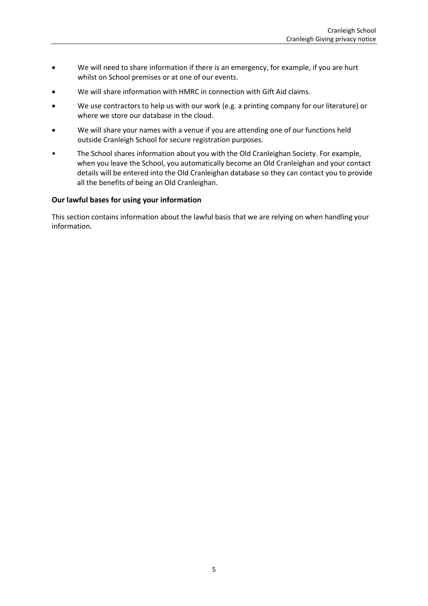- We will need to share information if there is an emergency, for example, if you are hurt whilst on School premises or at one of our events.
- We will share information with HMRC in connection with Gift Aid claims.
- We use contractors to help us with our work (e.g. a printing company for our literature) or where we store our database in the cloud.
- We will share your names with a venue if you are attending one of our functions held outside Cranleigh School for secure registration purposes.
- The School shares information about you with the Old Cranleighan Society. For example, when you leave the School, you automatically become an Old Cranleighan and your contact details will be entered into the Old Cranleighan database so they can contact you to provide all the benefits of being an Old Cranleighan.

#### **Our lawful bases for using your information**

This section contains information about the lawful basis that we are relying on when handling your information.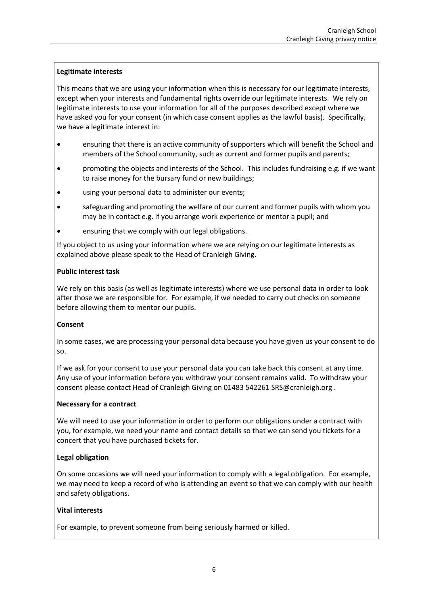# **Legitimate interests**

This means that we are using your information when this is necessary for our legitimate interests, except when your interests and fundamental rights override our legitimate interests. We rely on legitimate interests to use your information for all of the purposes described except where we have asked you for your consent (in which case consent applies as the lawful basis). Specifically, we have a legitimate interest in:

- ensuring that there is an active community of supporters which will benefit the School and members of the School community, such as current and former pupils and parents;
- promoting the objects and interests of the School. This includes fundraising e.g. if we want to raise money for the bursary fund or new buildings;
- using your personal data to administer our events;
- safeguarding and promoting the welfare of our current and former pupils with whom you may be in contact e.g. if you arrange work experience or mentor a pupil; and
- ensuring that we comply with our legal obligations.

If you object to us using your information where we are relying on our legitimate interests as explained above please speak to the Head of Cranleigh Giving.

#### **Public interest task**

We rely on this basis (as well as legitimate interests) where we use personal data in order to look after those we are responsible for. For example, if we needed to carry out checks on someone before allowing them to mentor our pupils.

# **Consent**

In some cases, we are processing your personal data because you have given us your consent to do so.

If we ask for your consent to use your personal data you can take back this consent at any time. Any use of your information before you withdraw your consent remains valid. To withdraw your consent please contact Head of Cranleigh Giving on 01483 542261 SRS@cranleigh.org .

#### **Necessary for a contract**

We will need to use your information in order to perform our obligations under a contract with you, for example, we need your name and contact details so that we can send you tickets for a concert that you have purchased tickets for.

# **Legal obligation**

On some occasions we will need your information to comply with a legal obligation. For example, we may need to keep a record of who is attending an event so that we can comply with our health and safety obligations.

# **Vital interests**

For example, to prevent someone from being seriously harmed or killed.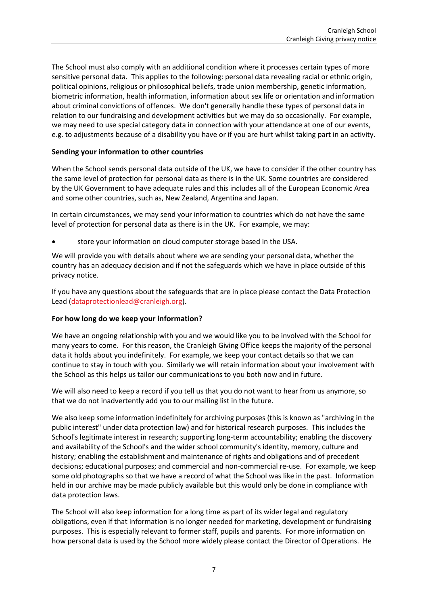The School must also comply with an additional condition where it processes certain types of more sensitive personal data. This applies to the following: personal data revealing racial or ethnic origin, political opinions, religious or philosophical beliefs, trade union membership, genetic information, biometric information, health information, information about sex life or orientation and information about criminal convictions of offences. We don't generally handle these types of personal data in relation to our fundraising and development activities but we may do so occasionally. For example, we may need to use special category data in connection with your attendance at one of our events, e.g. to adjustments because of a disability you have or if you are hurt whilst taking part in an activity.

# **Sending your information to other countries**

When the School sends personal data outside of the UK, we have to consider if the other country has the same level of protection for personal data as there is in the UK. Some countries are considered by the UK Government to have adequate rules and this includes all of the European Economic Area and some other countries, such as, New Zealand, Argentina and Japan.

In certain circumstances, we may send your information to countries which do not have the same level of protection for personal data as there is in the UK. For example, we may:

• store your information on cloud computer storage based in the USA.

We will provide you with details about where we are sending your personal data, whether the country has an adequacy decision and if not the safeguards which we have in place outside of this privacy notice.

If you have any questions about the safeguards that are in place please contact the Data Protection Lead [\(dataprotectionlead@cranleigh.org\)](mailto:dataprotectionlead@cranleigh.org).

# **For how long do we keep your information?**

We have an ongoing relationship with you and we would like you to be involved with the School for many years to come. For this reason, the Cranleigh Giving Office keeps the majority of the personal data it holds about you indefinitely. For example, we keep your contact details so that we can continue to stay in touch with you. Similarly we will retain information about your involvement with the School as this helps us tailor our communications to you both now and in future.

We will also need to keep a record if you tell us that you do not want to hear from us anymore, so that we do not inadvertently add you to our mailing list in the future.

We also keep some information indefinitely for archiving purposes (this is known as "archiving in the public interest" under data protection law) and for historical research purposes. This includes the School's legitimate interest in research; supporting long-term accountability; enabling the discovery and availability of the School's and the wider school community's identity, memory, culture and history; enabling the establishment and maintenance of rights and obligations and of precedent decisions; educational purposes; and commercial and non-commercial re-use. For example, we keep some old photographs so that we have a record of what the School was like in the past. Information held in our archive may be made publicly available but this would only be done in compliance with data protection laws.

The School will also keep information for a long time as part of its wider legal and regulatory obligations, even if that information is no longer needed for marketing, development or fundraising purposes. This is especially relevant to former staff, pupils and parents. For more information on how personal data is used by the School more widely please contact the Director of Operations. He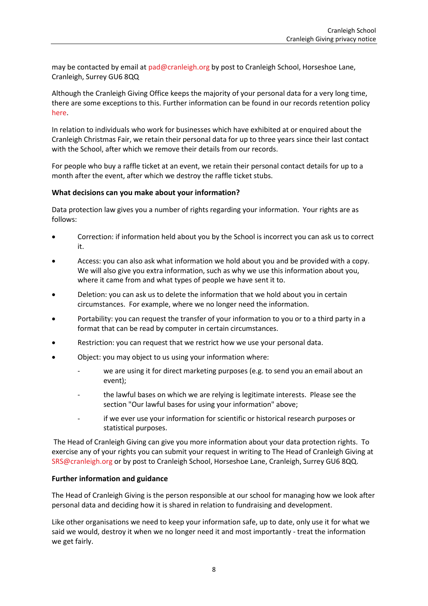may be contacted by email at [pad@cranleigh.org](mailto:pad@cranleigh.org) by post to Cranleigh School, Horseshoe Lane, Cranleigh, Surrey GU6 8QQ

Although the Cranleigh Giving Office keeps the majority of your personal data for a very long time, there are some exceptions to this. Further information can be found in our records retention policy [here.](https://www.cranleigh.org/policies/)

In relation to individuals who work for businesses which have exhibited at or enquired about the Cranleigh Christmas Fair, we retain their personal data for up to three years since their last contact with the School, after which we remove their details from our records.

For people who buy a raffle ticket at an event, we retain their personal contact details for up to a month after the event, after which we destroy the raffle ticket stubs.

#### **What decisions can you make about your information?**

Data protection law gives you a number of rights regarding your information. Your rights are as follows:

- Correction: if information held about you by the School is incorrect you can ask us to correct it.
- Access: you can also ask what information we hold about you and be provided with a copy. We will also give you extra information, such as why we use this information about you, where it came from and what types of people we have sent it to.
- Deletion: you can ask us to delete the information that we hold about you in certain circumstances. For example, where we no longer need the information.
- Portability: you can request the transfer of your information to you or to a third party in a format that can be read by computer in certain circumstances.
- Restriction: you can request that we restrict how we use your personal data.
- Object: you may object to us using your information where:
	- we are using it for direct marketing purposes (e.g. to send you an email about an event);
	- the lawful bases on which we are relying is legitimate interests. Please see the section "Our lawful bases for using your information" above;
	- if we ever use your information for scientific or historical research purposes or statistical purposes.

The Head of Cranleigh Giving can give you more information about your data protection rights. To exercise any of your rights you can submit your request in writing to The Head of Cranleigh Giving at [SRS@cranleigh.org](mailto:SRS@cranleigh.org) or by post to Cranleigh School, Horseshoe Lane, Cranleigh, Surrey GU6 8QQ.

#### **Further information and guidance**

The Head of Cranleigh Giving is the person responsible at our school for managing how we look after personal data and deciding how it is shared in relation to fundraising and development.

Like other organisations we need to keep your information safe, up to date, only use it for what we said we would, destroy it when we no longer need it and most importantly - treat the information we get fairly.